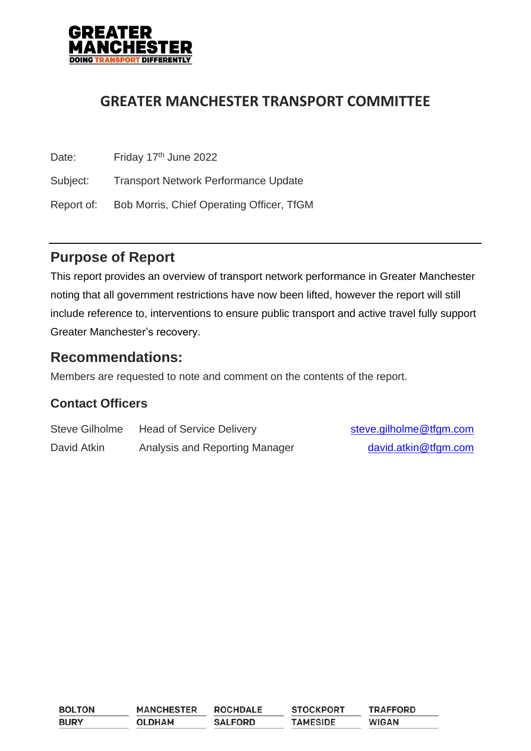

# **GREATER MANCHESTER TRANSPORT COMMITTEE**

| Date:      | Friday 17th June 2022                       |
|------------|---------------------------------------------|
| Subject:   | <b>Transport Network Performance Update</b> |
| Report of: | Bob Morris, Chief Operating Officer, TfGM   |

# **Purpose of Report**

This report provides an overview of transport network performance in Greater Manchester noting that all government restrictions have now been lifted, however the report will still include reference to, interventions to ensure public transport and active travel fully support Greater Manchester's recovery.

## **Recommendations:**

Members are requested to note and comment on the contents of the report.

## **Contact Officers**

| <b>Steve Gilholme</b> | <b>Head of Service Delivery</b> | steve.gilholme@tfgm.com |
|-----------------------|---------------------------------|-------------------------|
| David Atkin           | Analysis and Reporting Manager  | david.atkin@tfgm.com    |

| <b>BOLTON</b> | <b>MANCHESTER</b> | <b>ROCHDALE</b> | <b>STOCKPORT</b> | <b>TRAFFORD</b> |
|---------------|-------------------|-----------------|------------------|-----------------|
| <b>BURY</b>   | <b>OLDHAM</b>     | <b>SALFORD</b>  | <b>TAMESIDE</b>  | <b>WIGAN</b>    |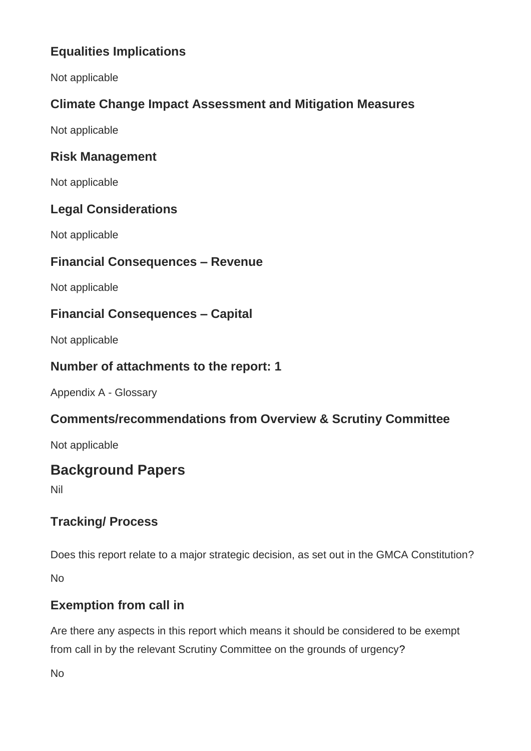# **Equalities Implications**

Not applicable

# **Climate Change Impact Assessment and Mitigation Measures**

Not applicable

### **Risk Management**

Not applicable

### **Legal Considerations**

Not applicable

### **Financial Consequences – Revenue**

Not applicable

### **Financial Consequences – Capital**

Not applicable

### **Number of attachments to the report: 1**

Appendix A - Glossary

## **Comments/recommendations from Overview & Scrutiny Committee**

Not applicable

# **Background Papers**

Nil

## **Tracking/ Process**

Does this report relate to a major strategic decision, as set out in the GMCA Constitution?

No

## **Exemption from call in**

Are there any aspects in this report which means it should be considered to be exempt from call in by the relevant Scrutiny Committee on the grounds of urgency?

No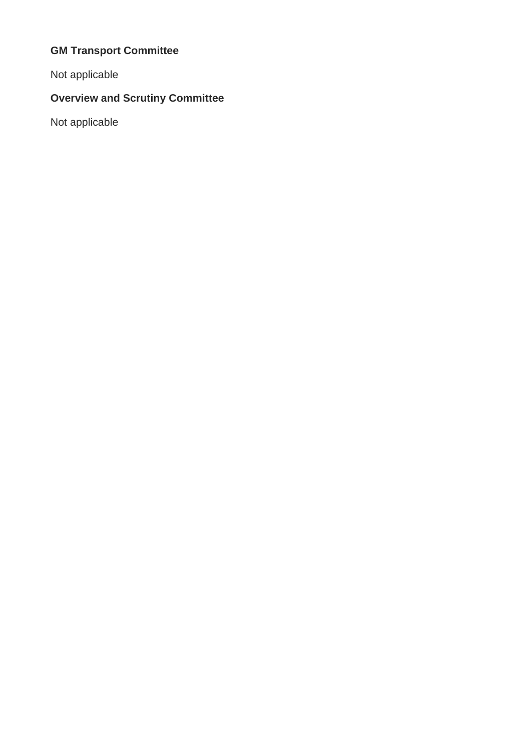# **GM Transport Committee**

Not applicable

# **Overview and Scrutiny Committee**

Not applicable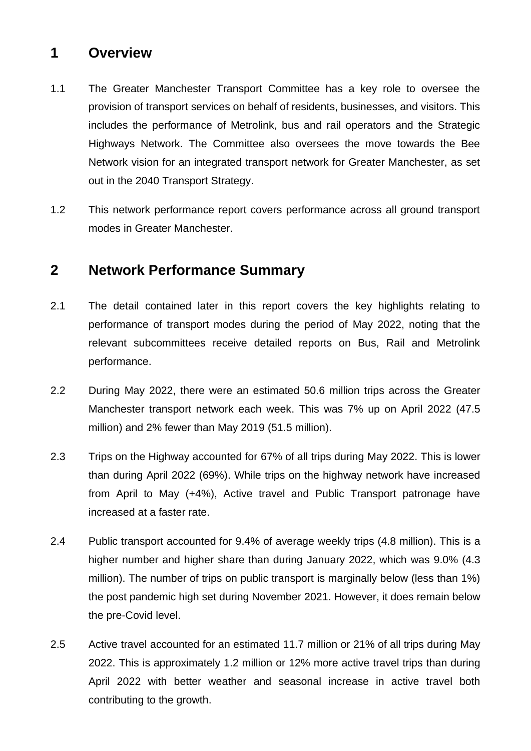# **1 Overview**

- 1.1 The Greater Manchester Transport Committee has a key role to oversee the provision of transport services on behalf of residents, businesses, and visitors. This includes the performance of Metrolink, bus and rail operators and the Strategic Highways Network. The Committee also oversees the move towards the Bee Network vision for an integrated transport network for Greater Manchester, as set out in the 2040 Transport Strategy.
- 1.2 This network performance report covers performance across all ground transport modes in Greater Manchester.

# **2 Network Performance Summary**

- 2.1 The detail contained later in this report covers the key highlights relating to performance of transport modes during the period of May 2022, noting that the relevant subcommittees receive detailed reports on Bus, Rail and Metrolink performance.
- 2.2 During May 2022, there were an estimated 50.6 million trips across the Greater Manchester transport network each week. This was 7% up on April 2022 (47.5 million) and 2% fewer than May 2019 (51.5 million).
- 2.3 Trips on the Highway accounted for 67% of all trips during May 2022. This is lower than during April 2022 (69%). While trips on the highway network have increased from April to May (+4%), Active travel and Public Transport patronage have increased at a faster rate.
- 2.4 Public transport accounted for 9.4% of average weekly trips (4.8 million). This is a higher number and higher share than during January 2022, which was 9.0% (4.3 million). The number of trips on public transport is marginally below (less than 1%) the post pandemic high set during November 2021. However, it does remain below the pre-Covid level.
- 2.5 Active travel accounted for an estimated 11.7 million or 21% of all trips during May 2022. This is approximately 1.2 million or 12% more active travel trips than during April 2022 with better weather and seasonal increase in active travel both contributing to the growth.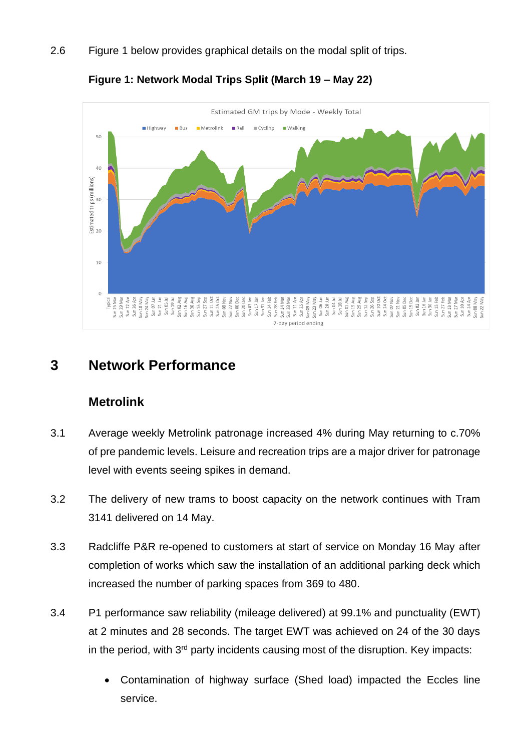2.6 Figure 1 below provides graphical details on the modal split of trips.



**Figure 1: Network Modal Trips Split (March 19 – May 22)**

# **3 Network Performance**

### **Metrolink**

- 3.1 Average weekly Metrolink patronage increased 4% during May returning to c.70% of pre pandemic levels. Leisure and recreation trips are a major driver for patronage level with events seeing spikes in demand.
- 3.2 The delivery of new trams to boost capacity on the network continues with Tram 3141 delivered on 14 May.
- 3.3 Radcliffe P&R re-opened to customers at start of service on Monday 16 May after completion of works which saw the installation of an additional parking deck which increased the number of parking spaces from 369 to 480.
- 3.4 P1 performance saw reliability (mileage delivered) at 99.1% and punctuality (EWT) at 2 minutes and 28 seconds. The target EWT was achieved on 24 of the 30 days in the period, with  $3<sup>rd</sup>$  party incidents causing most of the disruption. Key impacts:
	- Contamination of highway surface (Shed load) impacted the Eccles line service.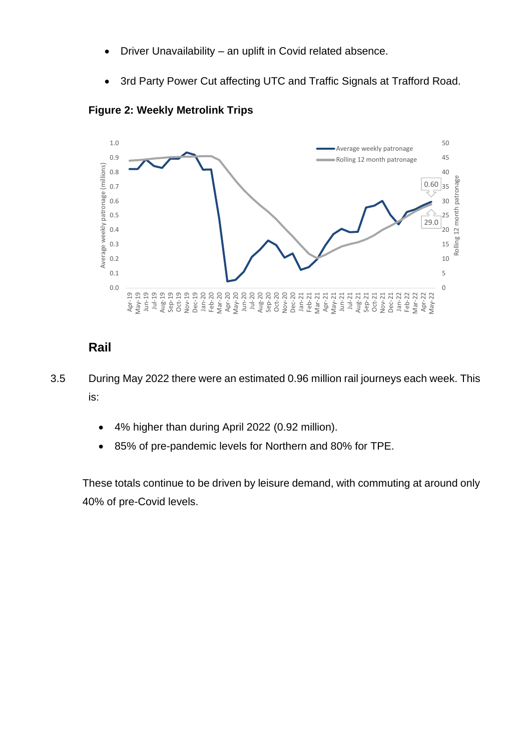- Driver Unavailability an uplift in Covid related absence.
- 3rd Party Power Cut affecting UTC and Traffic Signals at Trafford Road.



**Figure 2: Weekly Metrolink Trips**

# **Rail**

3.5 During May 2022 there were an estimated 0.96 million rail journeys each week. This is:

- 4% higher than during April 2022 (0.92 million).
- 85% of pre-pandemic levels for Northern and 80% for TPE.

These totals continue to be driven by leisure demand, with commuting at around only 40% of pre-Covid levels.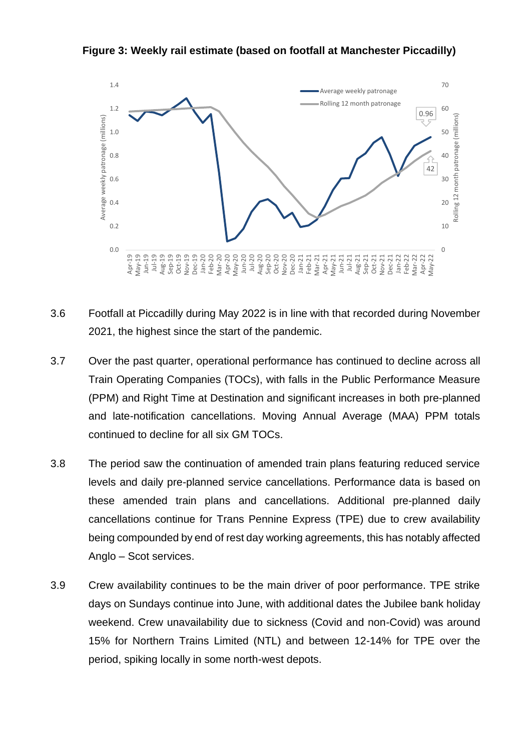**Figure 3: Weekly rail estimate (based on footfall at Manchester Piccadilly)**



- 3.6 Footfall at Piccadilly during May 2022 is in line with that recorded during November 2021, the highest since the start of the pandemic.
- 3.7 Over the past quarter, operational performance has continued to decline across all Train Operating Companies (TOCs), with falls in the Public Performance Measure (PPM) and Right Time at Destination and significant increases in both pre-planned and late-notification cancellations. Moving Annual Average (MAA) PPM totals continued to decline for all six GM TOCs.
- 3.8 The period saw the continuation of amended train plans featuring reduced service levels and daily pre-planned service cancellations. Performance data is based on these amended train plans and cancellations. Additional pre-planned daily cancellations continue for Trans Pennine Express (TPE) due to crew availability being compounded by end of rest day working agreements, this has notably affected Anglo – Scot services.
- 3.9 Crew availability continues to be the main driver of poor performance. TPE strike days on Sundays continue into June, with additional dates the Jubilee bank holiday weekend. Crew unavailability due to sickness (Covid and non-Covid) was around 15% for Northern Trains Limited (NTL) and between 12-14% for TPE over the period, spiking locally in some north-west depots.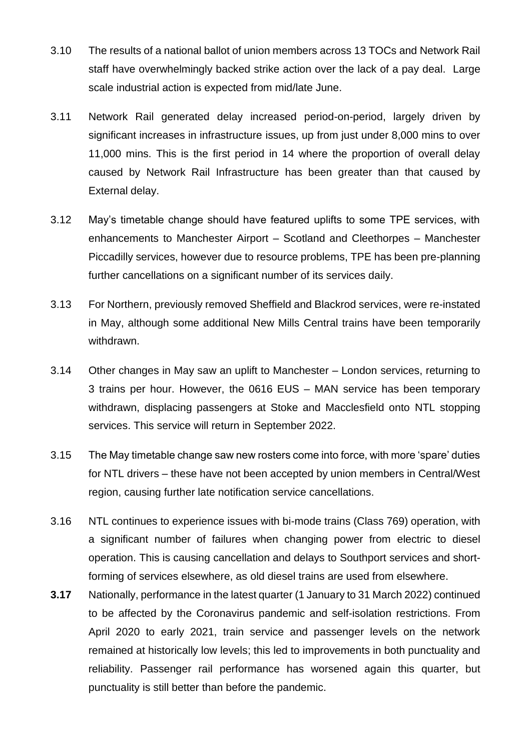- 3.10 The results of a national ballot of union members across 13 TOCs and Network Rail staff have overwhelmingly backed strike action over the lack of a pay deal. Large scale industrial action is expected from mid/late June.
- 3.11 Network Rail generated delay increased period-on-period, largely driven by significant increases in infrastructure issues, up from just under 8,000 mins to over 11,000 mins. This is the first period in 14 where the proportion of overall delay caused by Network Rail Infrastructure has been greater than that caused by External delay.
- 3.12 May's timetable change should have featured uplifts to some TPE services, with enhancements to Manchester Airport – Scotland and Cleethorpes – Manchester Piccadilly services, however due to resource problems, TPE has been pre-planning further cancellations on a significant number of its services daily.
- 3.13 For Northern, previously removed Sheffield and Blackrod services, were re-instated in May, although some additional New Mills Central trains have been temporarily withdrawn.
- 3.14 Other changes in May saw an uplift to Manchester London services, returning to 3 trains per hour. However, the 0616 EUS – MAN service has been temporary withdrawn, displacing passengers at Stoke and Macclesfield onto NTL stopping services. This service will return in September 2022.
- 3.15 The May timetable change saw new rosters come into force, with more 'spare' duties for NTL drivers – these have not been accepted by union members in Central/West region, causing further late notification service cancellations.
- 3.16 NTL continues to experience issues with bi-mode trains (Class 769) operation, with a significant number of failures when changing power from electric to diesel operation. This is causing cancellation and delays to Southport services and shortforming of services elsewhere, as old diesel trains are used from elsewhere.
- **3.17** Nationally, performance in the latest quarter (1 January to 31 March 2022) continued to be affected by the Coronavirus pandemic and self-isolation restrictions. From April 2020 to early 2021, train service and passenger levels on the network remained at historically low levels; this led to improvements in both punctuality and reliability. Passenger rail performance has worsened again this quarter, but punctuality is still better than before the pandemic.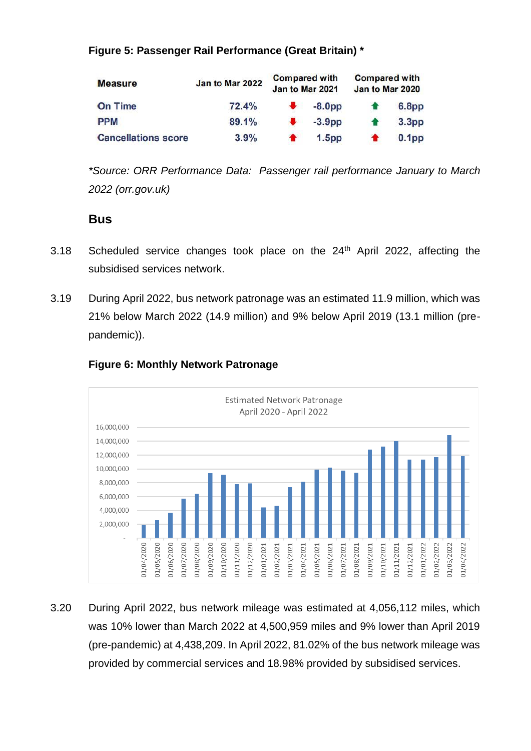#### **Figure 5: Passenger Rail Performance (Great Britain) \***

| <b>Measure</b>             | <b>Compared with</b><br><b>Compared with</b><br>Jan to Mar 2022<br>Jan to Mar 2021<br>Jan to Mar 2020 |  |                   |  |                   |
|----------------------------|-------------------------------------------------------------------------------------------------------|--|-------------------|--|-------------------|
| <b>On Time</b>             | 72.4%                                                                                                 |  | $-8.0pp$          |  | 6.8 <sub>pp</sub> |
| <b>PPM</b>                 | 89.1%                                                                                                 |  | $-3.9pp$          |  | 3.3 <sub>pp</sub> |
| <b>Cancellations score</b> | 3.9%                                                                                                  |  | 1.5 <sub>pp</sub> |  | 0.1 <sub>pp</sub> |

*\*Source: ORR Performance Data: [Passenger rail performance January](https://dataportal.orr.gov.uk/media/1995/passenger-performance-2021-22-q1.pdf) to March 2022 [\(orr.gov.uk\)](https://dataportal.orr.gov.uk/media/1995/passenger-performance-2021-22-q1.pdf)*

### **Bus**

- 3.18 Scheduled service changes took place on the 24<sup>th</sup> April 2022, affecting the subsidised services network.
- 3.19 During April 2022, bus network patronage was an estimated 11.9 million, which was 21% below March 2022 (14.9 million) and 9% below April 2019 (13.1 million (prepandemic)).



#### **Figure 6: Monthly Network Patronage**

3.20 During April 2022, bus network mileage was estimated at 4,056,112 miles, which was 10% lower than March 2022 at 4,500,959 miles and 9% lower than April 2019 (pre-pandemic) at 4,438,209. In April 2022, 81.02% of the bus network mileage was provided by commercial services and 18.98% provided by subsidised services.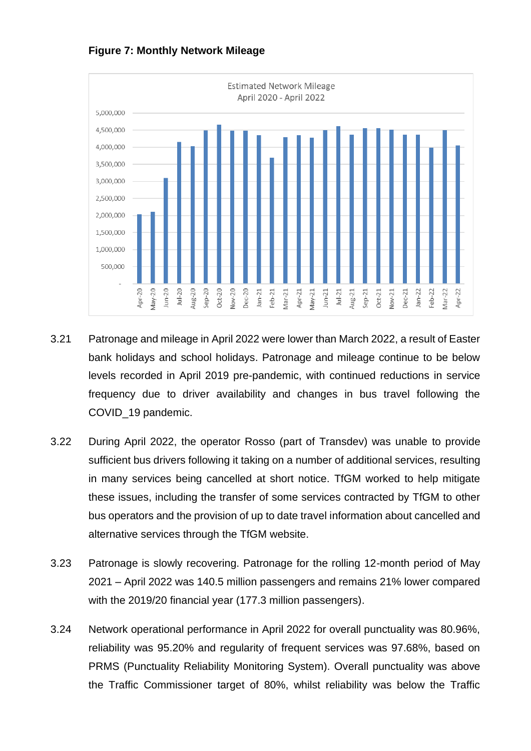



- 3.21 Patronage and mileage in April 2022 were lower than March 2022, a result of Easter bank holidays and school holidays. Patronage and mileage continue to be below levels recorded in April 2019 pre-pandemic, with continued reductions in service frequency due to driver availability and changes in bus travel following the COVID\_19 pandemic.
- 3.22 During April 2022, the operator Rosso (part of Transdev) was unable to provide sufficient bus drivers following it taking on a number of additional services, resulting in many services being cancelled at short notice. TfGM worked to help mitigate these issues, including the transfer of some services contracted by TfGM to other bus operators and the provision of up to date travel information about cancelled and alternative services through the TfGM website.
- 3.23 Patronage is slowly recovering. Patronage for the rolling 12-month period of May 2021 – April 2022 was 140.5 million passengers and remains 21% lower compared with the 2019/20 financial year (177.3 million passengers).
- 3.24 Network operational performance in April 2022 for overall punctuality was 80.96%, reliability was 95.20% and regularity of frequent services was 97.68%, based on PRMS (Punctuality Reliability Monitoring System). Overall punctuality was above the Traffic Commissioner target of 80%, whilst reliability was below the Traffic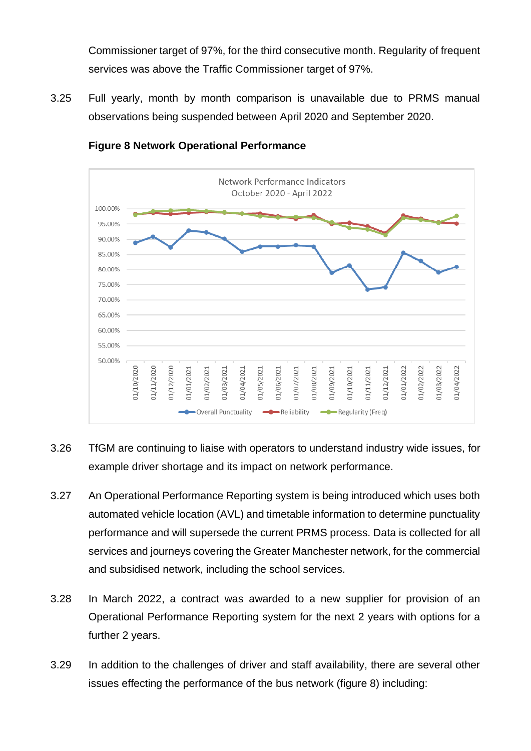Commissioner target of 97%, for the third consecutive month. Regularity of frequent services was above the Traffic Commissioner target of 97%.

3.25 Full yearly, month by month comparison is unavailable due to PRMS manual observations being suspended between April 2020 and September 2020.



#### **Figure 8 Network Operational Performance**

- 3.26 TfGM are continuing to liaise with operators to understand industry wide issues, for example driver shortage and its impact on network performance.
- 3.27 An Operational Performance Reporting system is being introduced which uses both automated vehicle location (AVL) and timetable information to determine punctuality performance and will supersede the current PRMS process. Data is collected for all services and journeys covering the Greater Manchester network, for the commercial and subsidised network, including the school services.
- 3.28 In March 2022, a contract was awarded to a new supplier for provision of an Operational Performance Reporting system for the next 2 years with options for a further 2 years.
- 3.29 In addition to the challenges of driver and staff availability, there are several other issues effecting the performance of the bus network (figure 8) including: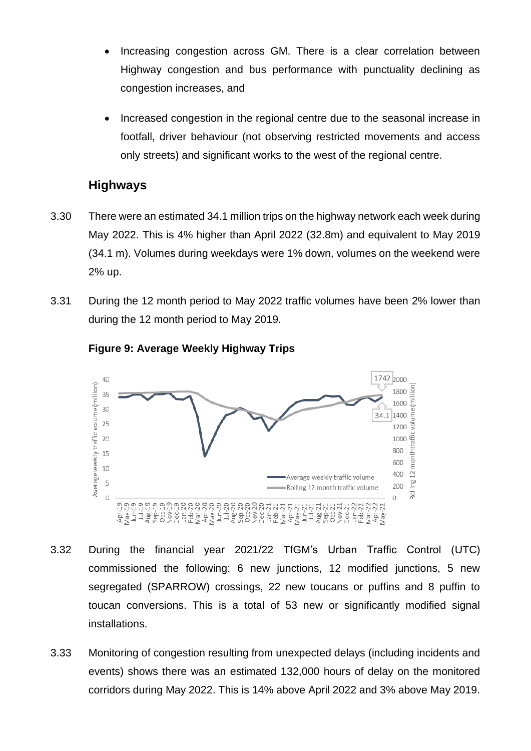- Increasing congestion across GM. There is a clear correlation between Highway congestion and bus performance with punctuality declining as congestion increases, and
- Increased congestion in the regional centre due to the seasonal increase in footfall, driver behaviour (not observing restricted movements and access only streets) and significant works to the west of the regional centre.

### **Highways**

- 3.30 There were an estimated 34.1 million trips on the highway network each week during May 2022. This is 4% higher than April 2022 (32.8m) and equivalent to May 2019 (34.1 m). Volumes during weekdays were 1% down, volumes on the weekend were 2% up.
- 3.31 During the 12 month period to May 2022 traffic volumes have been 2% lower than during the 12 month period to May 2019.



#### **Figure 9: Average Weekly Highway Trips**

- 3.32 During the financial year 2021/22 TfGM's Urban Traffic Control (UTC) commissioned the following: 6 new junctions, 12 modified junctions, 5 new segregated (SPARROW) crossings, 22 new toucans or puffins and 8 puffin to toucan conversions. This is a total of 53 new or significantly modified signal installations.
- 3.33 Monitoring of congestion resulting from unexpected delays (including incidents and events) shows there was an estimated 132,000 hours of delay on the monitored corridors during May 2022. This is 14% above April 2022 and 3% above May 2019.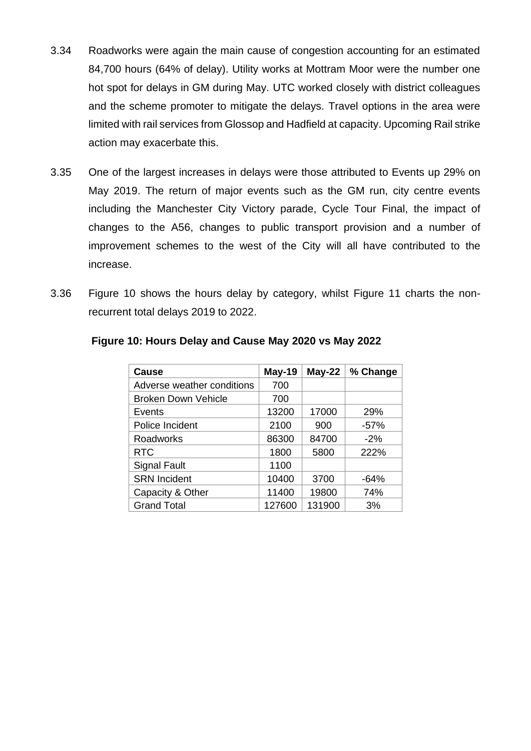- 3.34 Roadworks were again the main cause of congestion accounting for an estimated 84,700 hours (64% of delay). Utility works at Mottram Moor were the number one hot spot for delays in GM during May. UTC worked closely with district colleagues and the scheme promoter to mitigate the delays. Travel options in the area were limited with rail services from Glossop and Hadfield at capacity. Upcoming Rail strike action may exacerbate this.
- 3.35 One of the largest increases in delays were those attributed to Events up 29% on May 2019. The return of major events such as the GM run, city centre events including the Manchester City Victory parade, Cycle Tour Final, the impact of changes to the A56, changes to public transport provision and a number of improvement schemes to the west of the City will all have contributed to the increase.
- 3.36 Figure 10 shows the hours delay by category, whilst Figure 11 charts the nonrecurrent total delays 2019 to 2022.

| Cause                      | May-19 | $May-22$ | % Change |
|----------------------------|--------|----------|----------|
| Adverse weather conditions | 700    |          |          |
| <b>Broken Down Vehicle</b> | 700    |          |          |
| Events                     | 13200  | 17000    | 29%      |
| Police Incident            | 2100   | 900      | $-57%$   |
| <b>Roadworks</b>           | 86300  | 84700    | $-2%$    |
| <b>RTC</b>                 | 1800   | 5800     | 222%     |
| <b>Signal Fault</b>        | 1100   |          |          |
| <b>SRN Incident</b>        | 10400  | 3700     | $-64%$   |
| Capacity & Other           | 11400  | 19800    | 74%      |
| <b>Grand Total</b>         | 127600 | 131900   | 3%       |

#### **Figure 10: Hours Delay and Cause May 2020 vs May 2022**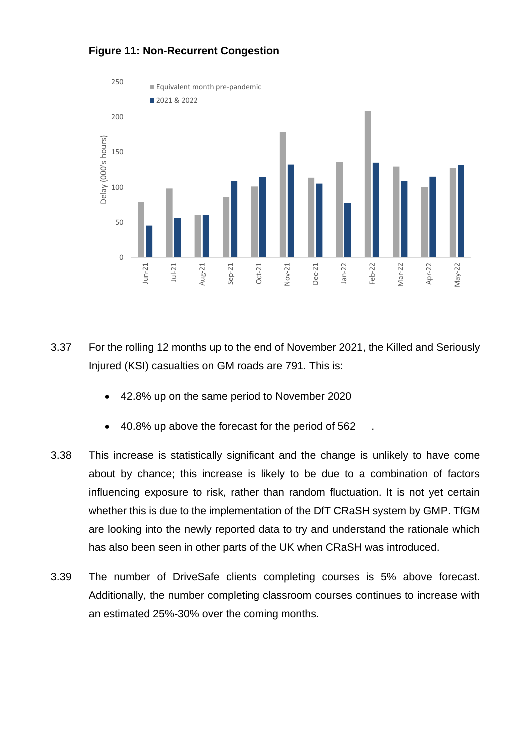

### **Figure 11: Non-Recurrent Congestion**

- 3.37 For the rolling 12 months up to the end of November 2021, the Killed and Seriously Injured (KSI) casualties on GM roads are 791. This is:
	- 42.8% up on the same period to November 2020
	- 40.8% up above the forecast for the period of 562
- 3.38 This increase is statistically significant and the change is unlikely to have come about by chance; this increase is likely to be due to a combination of factors influencing exposure to risk, rather than random fluctuation. It is not yet certain whether this is due to the implementation of the DfT CRaSH system by GMP. TfGM are looking into the newly reported data to try and understand the rationale which has also been seen in other parts of the UK when CRaSH was introduced.
- 3.39 The number of DriveSafe clients completing courses is 5% above forecast. Additionally, the number completing classroom courses continues to increase with an estimated 25%-30% over the coming months.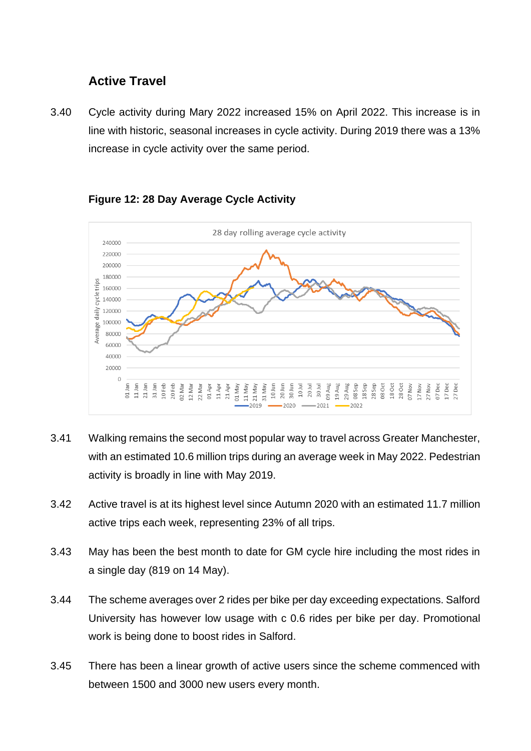### **Active Travel**

3.40 Cycle activity during Mary 2022 increased 15% on April 2022. This increase is in line with historic, seasonal increases in cycle activity. During 2019 there was a 13% increase in cycle activity over the same period.



#### **Figure 12: 28 Day Average Cycle Activity**

- 3.41 Walking remains the second most popular way to travel across Greater Manchester, with an estimated 10.6 million trips during an average week in May 2022. Pedestrian activity is broadly in line with May 2019.
- 3.42 Active travel is at its highest level since Autumn 2020 with an estimated 11.7 million active trips each week, representing 23% of all trips.
- 3.43 May has been the best month to date for GM cycle hire including the most rides in a single day (819 on 14 May).
- 3.44 The scheme averages over 2 rides per bike per day exceeding expectations. Salford University has however low usage with c 0.6 rides per bike per day. Promotional work is being done to boost rides in Salford.
- 3.45 There has been a linear growth of active users since the scheme commenced with between 1500 and 3000 new users every month.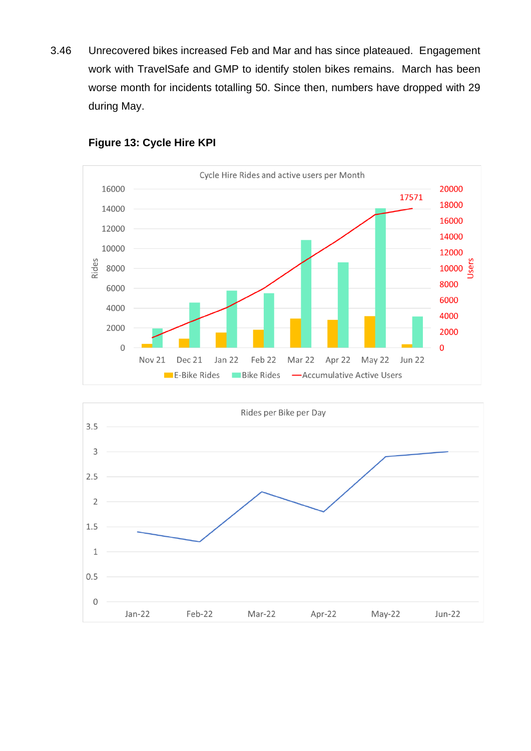3.46 Unrecovered bikes increased Feb and Mar and has since plateaued. Engagement work with TravelSafe and GMP to identify stolen bikes remains. March has been worse month for incidents totalling 50. Since then, numbers have dropped with 29 during May.



#### **Figure 13: Cycle Hire KPI**

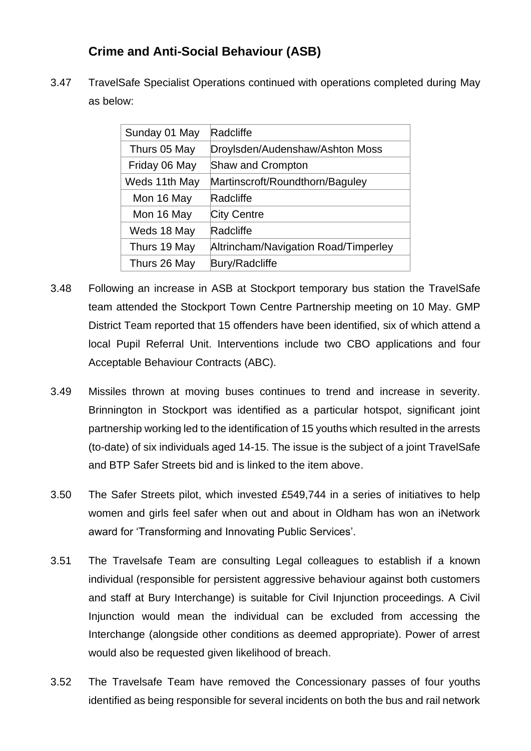### **Crime and Anti-Social Behaviour (ASB)**

3.47 TravelSafe Specialist Operations continued with operations completed during May as below:

| Sunday 01 May | Radcliffe                            |
|---------------|--------------------------------------|
| Thurs 05 May  | Droylsden/Audenshaw/Ashton Moss      |
| Friday 06 May | <b>Shaw and Crompton</b>             |
| Weds 11th May | Martinscroft/Roundthorn/Baguley      |
| Mon 16 May    | Radcliffe                            |
| Mon 16 May    | City Centre                          |
| Weds 18 May   | Radcliffe                            |
| Thurs 19 May  | Altrincham/Navigation Road/Timperley |
| Thurs 26 May  | <b>Bury/Radcliffe</b>                |
|               |                                      |

- 3.48 Following an increase in ASB at Stockport temporary bus station the TravelSafe team attended the Stockport Town Centre Partnership meeting on 10 May. GMP District Team reported that 15 offenders have been identified, six of which attend a local Pupil Referral Unit. Interventions include two CBO applications and four Acceptable Behaviour Contracts (ABC).
- 3.49 Missiles thrown at moving buses continues to trend and increase in severity. Brinnington in Stockport was identified as a particular hotspot, significant joint partnership working led to the identification of 15 youths which resulted in the arrests (to-date) of six individuals aged 14-15. The issue is the subject of a joint TravelSafe and BTP Safer Streets bid and is linked to the item above.
- 3.50 The Safer Streets pilot, which invested £549,744 in a series of initiatives to help women and girls feel safer when out and about in Oldham has won an iNetwork award for 'Transforming and Innovating Public Services'.
- 3.51 The Travelsafe Team are consulting Legal colleagues to establish if a known individual (responsible for persistent aggressive behaviour against both customers and staff at Bury Interchange) is suitable for Civil Injunction proceedings. A Civil Injunction would mean the individual can be excluded from accessing the Interchange (alongside other conditions as deemed appropriate). Power of arrest would also be requested given likelihood of breach.
- 3.52 The Travelsafe Team have removed the Concessionary passes of four youths identified as being responsible for several incidents on both the bus and rail network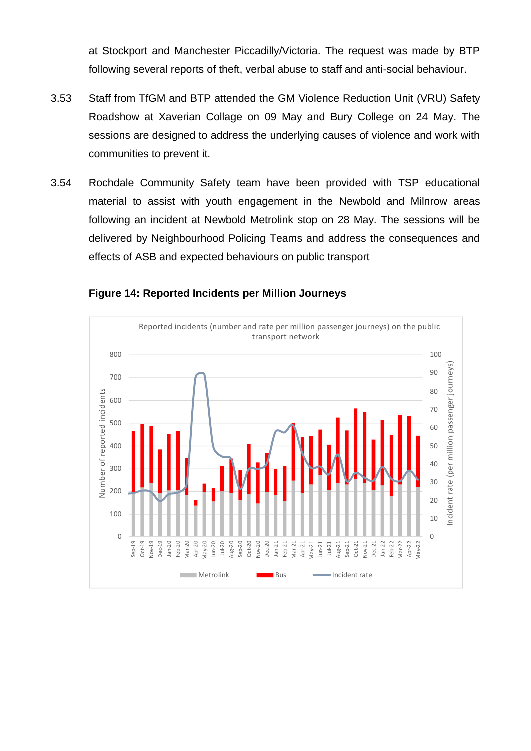at Stockport and Manchester Piccadilly/Victoria. The request was made by BTP following several reports of theft, verbal abuse to staff and anti-social behaviour.

- 3.53 Staff from TfGM and BTP attended the GM Violence Reduction Unit (VRU) Safety Roadshow at Xaverian Collage on 09 May and Bury College on 24 May. The sessions are designed to address the underlying causes of violence and work with communities to prevent it.
- 3.54 Rochdale Community Safety team have been provided with TSP educational material to assist with youth engagement in the Newbold and Milnrow areas following an incident at Newbold Metrolink stop on 28 May. The sessions will be delivered by Neighbourhood Policing Teams and address the consequences and effects of ASB and expected behaviours on public transport



#### **Figure 14: Reported Incidents per Million Journeys**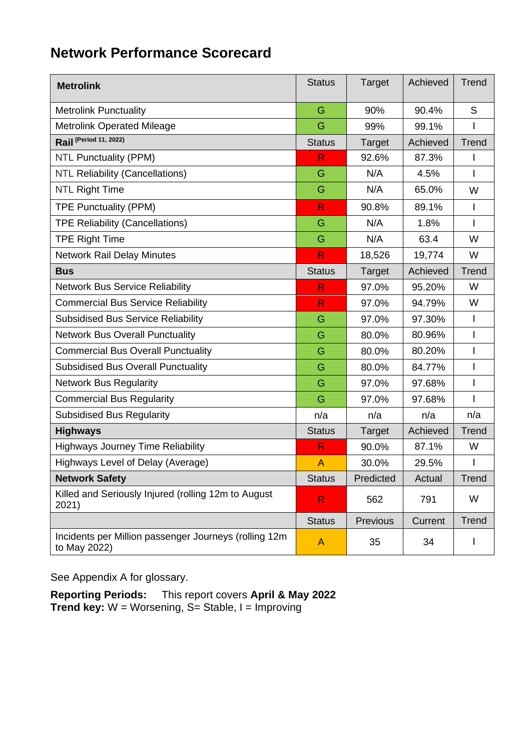# **Network Performance Scorecard**

| <b>Metrolink</b>                                                      | <b>Status</b> | Target        | Achieved | Trend          |
|-----------------------------------------------------------------------|---------------|---------------|----------|----------------|
| <b>Metrolink Punctuality</b>                                          | G             | 90%           | 90.4%    | S              |
| <b>Metrolink Operated Mileage</b>                                     | G             | 99%           | 99.1%    | I              |
| Rail (Period 11, 2022)                                                | <b>Status</b> | Target        | Achieved | Trend          |
| <b>NTL Punctuality (PPM)</b>                                          | R             | 92.6%         | 87.3%    | I              |
| <b>NTL Reliability (Cancellations)</b>                                | G             | N/A           | 4.5%     | I              |
| <b>NTL Right Time</b>                                                 | G             | N/A           | 65.0%    | W              |
| <b>TPE Punctuality (PPM)</b>                                          | R.            | 90.8%         | 89.1%    | I              |
| <b>TPE Reliability (Cancellations)</b>                                | G             | N/A           | 1.8%     | I              |
| <b>TPE Right Time</b>                                                 | G             | N/A           | 63.4     | W              |
| <b>Network Rail Delay Minutes</b>                                     | R             | 18,526        | 19,774   | W              |
| <b>Bus</b>                                                            | <b>Status</b> | Target        | Achieved | <b>Trend</b>   |
| <b>Network Bus Service Reliability</b>                                | R             | 97.0%         | 95.20%   | W              |
| <b>Commercial Bus Service Reliability</b>                             | R.            | 97.0%         | 94.79%   | W              |
| <b>Subsidised Bus Service Reliability</b>                             | G             | 97.0%         | 97.30%   | $\overline{1}$ |
| <b>Network Bus Overall Punctuality</b>                                | G             | 80.0%         | 80.96%   | I              |
| <b>Commercial Bus Overall Punctuality</b>                             | G             | 80.0%         | 80.20%   | I              |
| <b>Subsidised Bus Overall Punctuality</b>                             | G             | 80.0%         | 84.77%   | I              |
| <b>Network Bus Regularity</b>                                         | G             | 97.0%         | 97.68%   | I              |
| <b>Commercial Bus Regularity</b>                                      | G             | 97.0%         | 97.68%   | ı              |
| <b>Subsidised Bus Regularity</b>                                      | n/a           | n/a           | n/a      | n/a            |
| <b>Highways</b>                                                       | <b>Status</b> | <b>Target</b> | Achieved | Trend          |
| <b>Highways Journey Time Reliability</b>                              | R             | 90.0%         | 87.1%    | W              |
| Highways Level of Delay (Average)                                     | $\mathsf{A}$  | 30.0%         | 29.5%    | I              |
| <b>Network Safety</b>                                                 | <b>Status</b> | Predicted     | Actual   | Trend          |
| Killed and Seriously Injured (rolling 12m to August<br>2021)          | R.            | 562           | 791      | W              |
|                                                                       | <b>Status</b> | Previous      | Current  | Trend          |
| Incidents per Million passenger Journeys (rolling 12m<br>to May 2022) | A             | 35            | 34       | ı              |

See Appendix A for glossary.

**Reporting Periods:** This report covers **April & May 2022 Trend key:** W = Worsening, S= Stable, I = Improving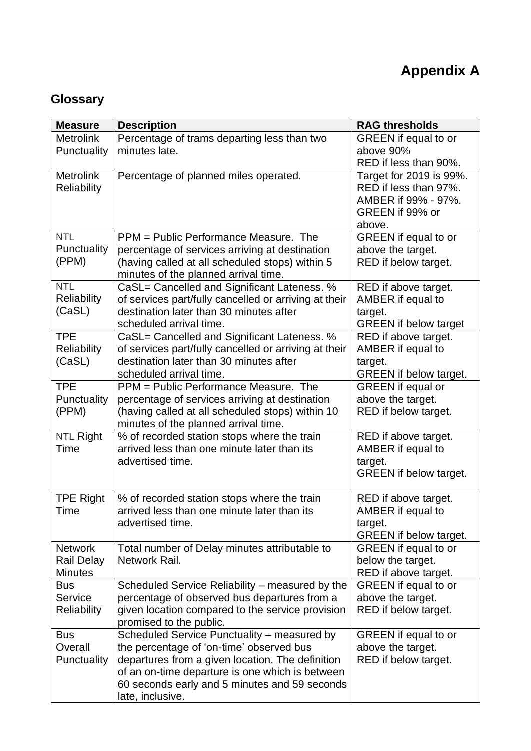# **Glossary**

| <b>Measure</b>                      | <b>Description</b>                                                                               | <b>RAG thresholds</b>                                |
|-------------------------------------|--------------------------------------------------------------------------------------------------|------------------------------------------------------|
| <b>Metrolink</b>                    | Percentage of trams departing less than two                                                      | <b>GREEN</b> if equal to or                          |
| Punctuality                         | minutes late.                                                                                    | above 90%                                            |
|                                     |                                                                                                  | RED if less than 90%.                                |
| <b>Metrolink</b>                    | Percentage of planned miles operated.                                                            | Target for 2019 is 99%.                              |
| <b>Reliability</b>                  |                                                                                                  | RED if less than 97%.<br>AMBER if 99% - 97%.         |
|                                     |                                                                                                  | GREEN if 99% or                                      |
|                                     |                                                                                                  | above.                                               |
| <b>NTL</b>                          | PPM = Public Performance Measure. The                                                            | <b>GREEN</b> if equal to or                          |
| Punctuality                         | percentage of services arriving at destination                                                   | above the target.                                    |
| (PPM)                               | (having called at all scheduled stops) within 5                                                  | RED if below target.                                 |
|                                     | minutes of the planned arrival time.                                                             |                                                      |
| <b>NTL</b>                          | CaSL= Cancelled and Significant Lateness. %                                                      | RED if above target.                                 |
| Reliability                         | of services part/fully cancelled or arriving at their                                            | AMBER if equal to                                    |
| (CaSL)                              | destination later than 30 minutes after<br>scheduled arrival time.                               | target.                                              |
| <b>TPE</b>                          | CaSL= Cancelled and Significant Lateness. %                                                      | <b>GREEN</b> if below target<br>RED if above target. |
| <b>Reliability</b>                  | of services part/fully cancelled or arriving at their                                            | AMBER if equal to                                    |
| (CaSL)                              | destination later than 30 minutes after                                                          | target.                                              |
|                                     | scheduled arrival time.                                                                          | <b>GREEN</b> if below target.                        |
| <b>TPE</b>                          | PPM = Public Performance Measure. The                                                            | <b>GREEN</b> if equal or                             |
| Punctuality                         | percentage of services arriving at destination                                                   | above the target.                                    |
| (PPM)                               | (having called at all scheduled stops) within 10                                                 | RED if below target.                                 |
|                                     | minutes of the planned arrival time.                                                             |                                                      |
| <b>NTL Right</b><br>Time            | % of recorded station stops where the train<br>arrived less than one minute later than its       | RED if above target.<br>AMBER if equal to            |
|                                     | advertised time.                                                                                 | target.                                              |
|                                     |                                                                                                  | <b>GREEN</b> if below target.                        |
|                                     |                                                                                                  |                                                      |
| <b>TPE Right</b>                    | % of recorded station stops where the train                                                      | RED if above target.                                 |
| Time                                | arrived less than one minute later than its                                                      | AMBER if equal to                                    |
|                                     | advertised time.                                                                                 | target.                                              |
|                                     |                                                                                                  | <b>GREEN</b> if below target.                        |
| <b>Network</b><br><b>Rail Delay</b> | Total number of Delay minutes attributable to<br>Network Rail.                                   | <b>GREEN</b> if equal to or<br>below the target.     |
| <b>Minutes</b>                      |                                                                                                  | RED if above target.                                 |
| <b>Bus</b>                          | Scheduled Service Reliability - measured by the                                                  | <b>GREEN</b> if equal to or                          |
| Service                             | percentage of observed bus departures from a                                                     | above the target.                                    |
| <b>Reliability</b>                  | given location compared to the service provision                                                 | RED if below target.                                 |
|                                     | promised to the public.                                                                          |                                                      |
| <b>Bus</b>                          | Scheduled Service Punctuality - measured by                                                      | <b>GREEN</b> if equal to or                          |
| Overall                             | the percentage of 'on-time' observed bus                                                         | above the target.                                    |
| <b>Punctuality</b>                  | departures from a given location. The definition                                                 | RED if below target.                                 |
|                                     | of an on-time departure is one which is between<br>60 seconds early and 5 minutes and 59 seconds |                                                      |
|                                     | late, inclusive.                                                                                 |                                                      |